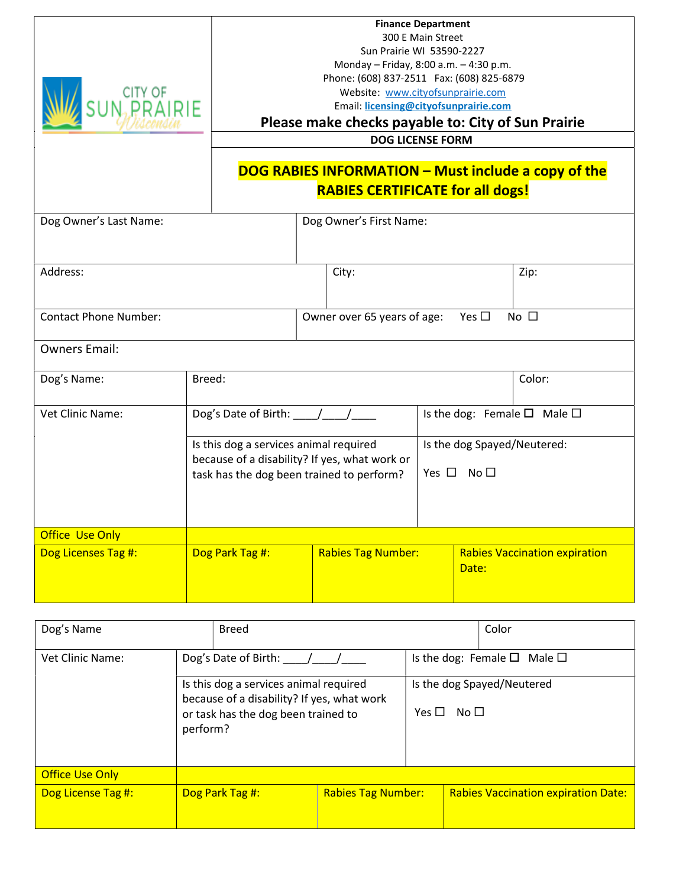| CITY OF<br>N <sub>2</sub> PRAIRIE<br>Dog Owner's Last Name: |                                                                                                                                         |                                                                                                                                                                                                   |                                                              | Sun Prairie WI 53590-2227<br>Monday - Friday, 8:00 a.m. - 4:30 p.m.<br>Phone: (608) 837-2511 Fax: (608) 825-6879<br>Website: www.cityofsunprairie.com<br>Email: licensing@cityofsunprairie.com<br>Please make checks payable to: City of Sun Prairie<br><b>RABIES CERTIFICATE for all dogs!</b><br>Dog Owner's First Name: | <b>Finance Department</b><br>300 E Main Street<br><b>DOG LICENSE FORM</b> |                                                          |                                             | DOG RABIES INFORMATION - Must include a copy of the |
|-------------------------------------------------------------|-----------------------------------------------------------------------------------------------------------------------------------------|---------------------------------------------------------------------------------------------------------------------------------------------------------------------------------------------------|--------------------------------------------------------------|----------------------------------------------------------------------------------------------------------------------------------------------------------------------------------------------------------------------------------------------------------------------------------------------------------------------------|---------------------------------------------------------------------------|----------------------------------------------------------|---------------------------------------------|-----------------------------------------------------|
| Address:                                                    |                                                                                                                                         |                                                                                                                                                                                                   |                                                              | City:                                                                                                                                                                                                                                                                                                                      |                                                                           |                                                          |                                             | Zip:                                                |
| <b>Contact Phone Number:</b>                                |                                                                                                                                         |                                                                                                                                                                                                   | Yes $\square$<br>No $\square$<br>Owner over 65 years of age: |                                                                                                                                                                                                                                                                                                                            |                                                                           |                                                          |                                             |                                                     |
| <b>Owners Email:</b>                                        |                                                                                                                                         |                                                                                                                                                                                                   |                                                              |                                                                                                                                                                                                                                                                                                                            |                                                                           |                                                          |                                             |                                                     |
| Dog's Name:                                                 | Breed:                                                                                                                                  |                                                                                                                                                                                                   |                                                              |                                                                                                                                                                                                                                                                                                                            |                                                                           |                                                          |                                             | Color:                                              |
| Vet Clinic Name:                                            | Dog's Date of Birth: \[\[\]                                                                                                             |                                                                                                                                                                                                   |                                                              |                                                                                                                                                                                                                                                                                                                            |                                                                           |                                                          | Is the dog: Female $\square$ Male $\square$ |                                                     |
|                                                             |                                                                                                                                         | Is the dog Spayed/Neutered:<br>Is this dog a services animal required<br>because of a disability? If yes, what work or<br>Yes $\square$ No $\square$<br>task has the dog been trained to perform? |                                                              |                                                                                                                                                                                                                                                                                                                            |                                                                           |                                                          |                                             |                                                     |
| Office Use Only                                             |                                                                                                                                         |                                                                                                                                                                                                   |                                                              |                                                                                                                                                                                                                                                                                                                            |                                                                           |                                                          |                                             |                                                     |
| Dog Licenses Tag #:                                         | Dog Park Tag #:                                                                                                                         |                                                                                                                                                                                                   | <b>Rabies Tag Number:</b>                                    |                                                                                                                                                                                                                                                                                                                            |                                                                           | <b>Rabies Vaccination expiration</b><br>Date:            |                                             |                                                     |
| Dog's Name<br><b>Breed</b>                                  |                                                                                                                                         |                                                                                                                                                                                                   |                                                              |                                                                                                                                                                                                                                                                                                                            |                                                                           |                                                          | Color                                       |                                                     |
| Vet Clinic Name:                                            | Dog's Date of Birth: / /                                                                                                                |                                                                                                                                                                                                   |                                                              |                                                                                                                                                                                                                                                                                                                            |                                                                           |                                                          | Is the dog: Female $\square$ Male $\square$ |                                                     |
|                                                             | Is this dog a services animal required<br>because of a disability? If yes, what work<br>or task has the dog been trained to<br>perform? |                                                                                                                                                                                                   |                                                              |                                                                                                                                                                                                                                                                                                                            |                                                                           | Is the dog Spayed/Neutered<br>Yes $\square$ No $\square$ |                                             |                                                     |
| <b>Office Use Only</b>                                      |                                                                                                                                         |                                                                                                                                                                                                   |                                                              |                                                                                                                                                                                                                                                                                                                            |                                                                           |                                                          |                                             |                                                     |
| Dog License Tag #:                                          | Dog Park Tag #:                                                                                                                         |                                                                                                                                                                                                   | <b>Rabies Tag Number:</b>                                    |                                                                                                                                                                                                                                                                                                                            |                                                                           | <b>Rabies Vaccination expiration Date:</b>               |                                             |                                                     |